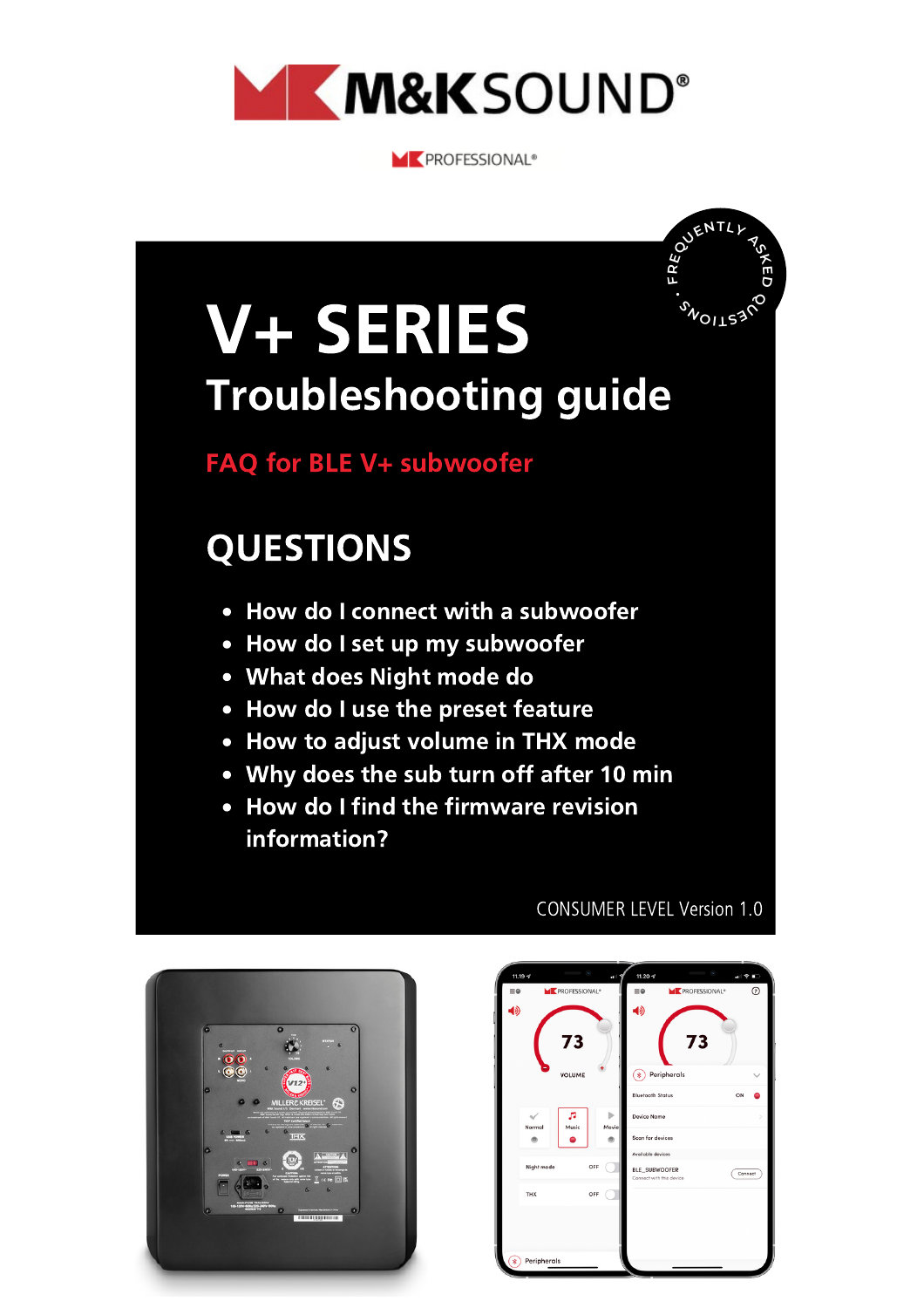

**ME PROFESSIONAL®** 

## **F R**<br>**RENTL**<br>**A**<br> **A**<br> **A**<br> **A**<br> **A**<br> **A**<br> **A E D M**OILS3<sup>20</sup> **<sup>S</sup> •** • How do I connect with a subwoofer • How do I set up my subwoofer What does Night mode do FAQ for BLE V+ subwoofer V+ SERIES QUESTIONS Troubleshooting guide

- How do I use the preset feature
- How to adjust volume in THX mode
- Why does the sub turn off after 10 min
- How do I find the firmware revision information?



#### CONSUMER LEVEL Version 1.0

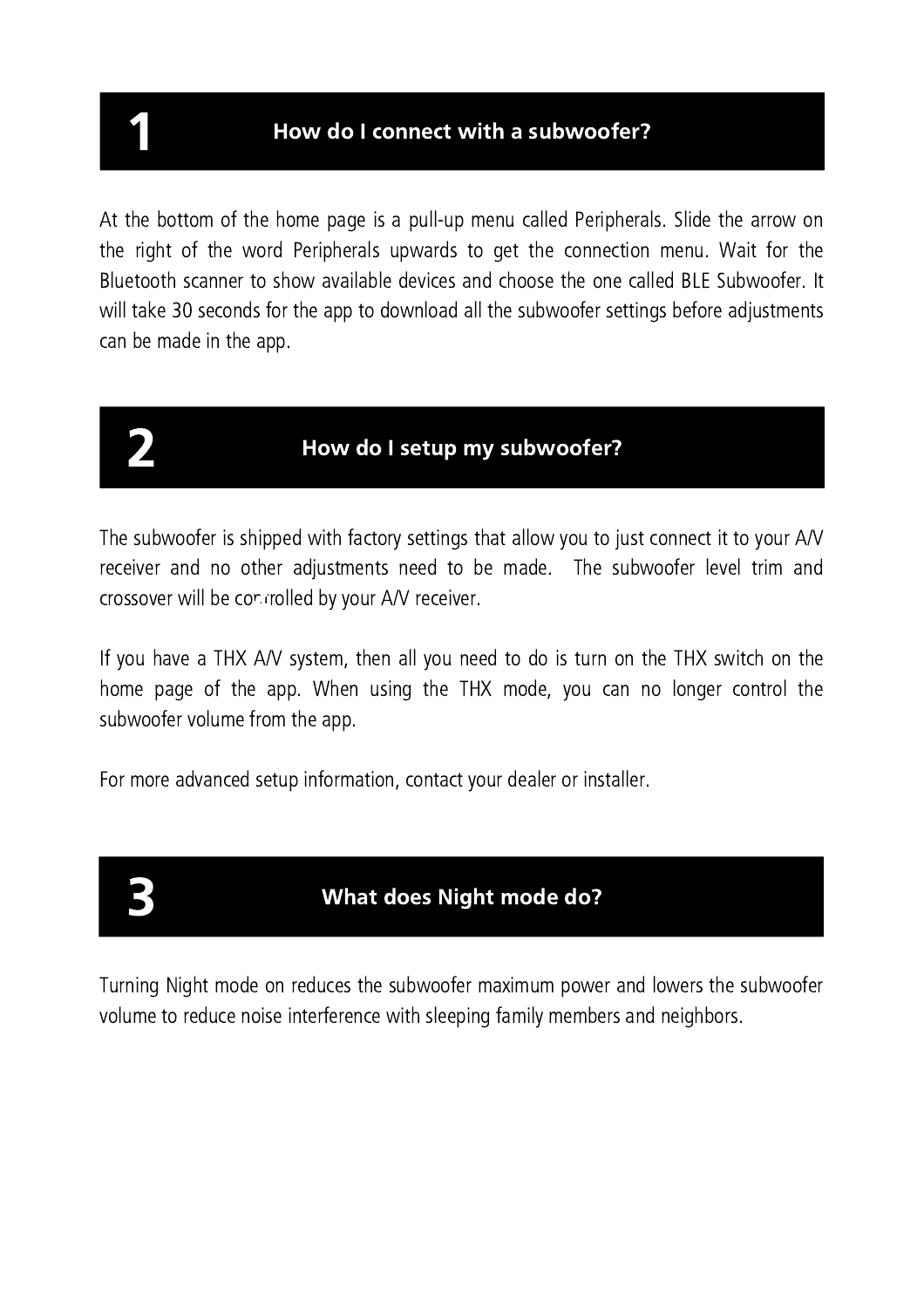How do I connect with a subwoofer?

At the bottom of the home page is a pull-up menu called Peripherals. Slide the arrow on the right of the word Peripherals upwards to get the connection menu. Wait for the Bluetooth scanner to show available devices and choose the one called BLE Subwoofer. It will take 30 seconds for the app to download all the subwoofer settings before adjustments can be made in the app.

### How do I setup my subwoofer?

The subwoofer is shipped with factory settings that allow you to just connect it to your A/V receiver and no other adjustments need to be made. The subwoofer level trim and crossover will be controlled by your A/V receiver.

If you have a THX A/V system, then all you need to do is turn on the THX switch on the home page of the app. When using the THX mode, you can no longer control the subwoofer volume from the app.

For more advanced setup information, contact your dealer or installer.

#### What does Night mode do?

Turning Night mode on reduces the subwoofer maximum power and lowers the subwoofer volume to reduce noise interference with sleeping family members and neighbors.